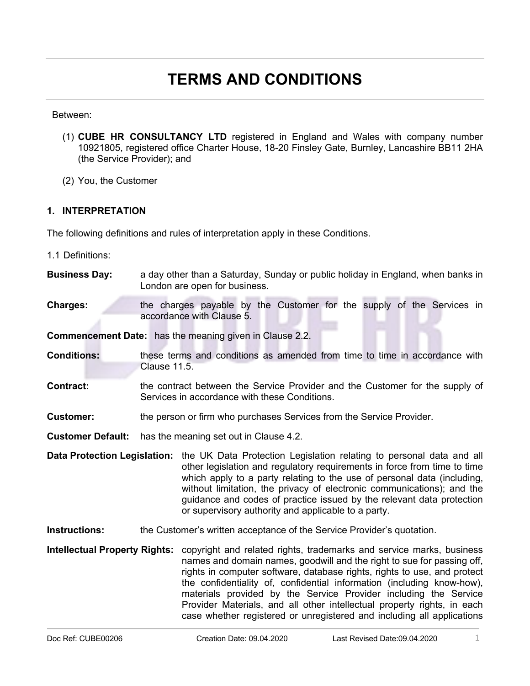# **TERMS AND CONDITIONS**

#### Between:

- (1) **CUBE HR CONSULTANCY LTD** registered in England and Wales with company number 10921805, registered office Charter House, 18-20 Finsley Gate, Burnley, Lancashire BB11 2HA (the Service Provider); and
- (2) You, the Customer

## **1. INTERPRETATION**

The following definitions and rules of interpretation apply in these Conditions.

- 1.1 Definitions:
- **Business Day:** a day other than a Saturday, Sunday or public holiday in England, when banks in London are open for business.
- **Charges:** the charges payable by the Customer for the supply of the Services in accordance with Clause 5.

**Commencement Date:** has the meaning given in Clause 2.2.

- **Conditions:** these terms and conditions as amended from time to time in accordance with Clause 11.5.
- **Contract: the contract between the Service Provider and the Customer for the supply of** Services in accordance with these Conditions.
- **Customer:** the person or firm who purchases Services from the Service Provider.

**Customer Default:** has the meaning set out in Clause 4.2.

- **Data Protection Legislation:** the UK Data Protection Legislation relating to personal data and all other legislation and regulatory requirements in force from time to time which apply to a party relating to the use of personal data (including, without limitation, the privacy of electronic communications); and the guidance and codes of practice issued by the relevant data protection or supervisory authority and applicable to a party.
- **Instructions:** the Customer's written acceptance of the Service Provider's quotation.
- **Intellectual Property Rights:** copyright and related rights, trademarks and service marks, business names and domain names, goodwill and the right to sue for passing off, rights in computer software, database rights, rights to use, and protect the confidentiality of, confidential information (including know-how), materials provided by the Service Provider including the Service Provider Materials, and all other intellectual property rights, in each case whether registered or unregistered and including all applications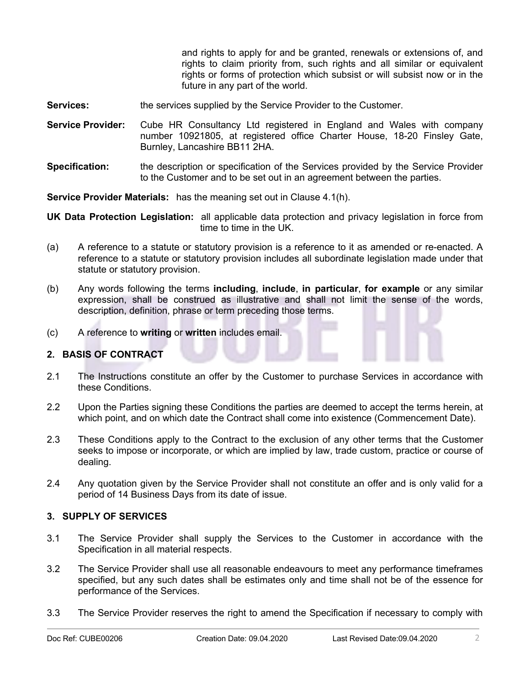and rights to apply for and be granted, renewals or extensions of, and rights to claim priority from, such rights and all similar or equivalent rights or forms of protection which subsist or will subsist now or in the future in any part of the world.

- **Services: the services supplied by the Service Provider to the Customer.**
- **Service Provider:** Cube HR Consultancy Ltd registered in England and Wales with company number 10921805, at registered office Charter House, 18-20 Finsley Gate, Burnley, Lancashire BB11 2HA.
- **Specification:** the description or specification of the Services provided by the Service Provider to the Customer and to be set out in an agreement between the parties.

**Service Provider Materials:** has the meaning set out in Clause 4.1(h).

**UK Data Protection Legislation:** all applicable data protection and privacy legislation in force from time to time in the UK.

- (a) A reference to a statute or statutory provision is a reference to it as amended or re-enacted. A reference to a statute or statutory provision includes all subordinate legislation made under that statute or statutory provision.
- (b) Any words following the terms **including**, **include**, **in particular**, **for example** or any similar expression, shall be construed as illustrative and shall not limit the sense of the words, description, definition, phrase or term preceding those terms.
- (c) A reference to **writing** or **written** includes email.

## **2. BASIS OF CONTRACT**

- 2.1 The Instructions constitute an offer by the Customer to purchase Services in accordance with these Conditions.
- 2.2 Upon the Parties signing these Conditions the parties are deemed to accept the terms herein, at which point, and on which date the Contract shall come into existence (Commencement Date).
- 2.3 These Conditions apply to the Contract to the exclusion of any other terms that the Customer seeks to impose or incorporate, or which are implied by law, trade custom, practice or course of dealing.
- 2.4 Any quotation given by the Service Provider shall not constitute an offer and is only valid for a period of 14 Business Days from its date of issue.

#### **3. SUPPLY OF SERVICES**

- 3.1 The Service Provider shall supply the Services to the Customer in accordance with the Specification in all material respects.
- 3.2 The Service Provider shall use all reasonable endeavours to meet any performance timeframes specified, but any such dates shall be estimates only and time shall not be of the essence for performance of the Services.
- 3.3 The Service Provider reserves the right to amend the Specification if necessary to comply with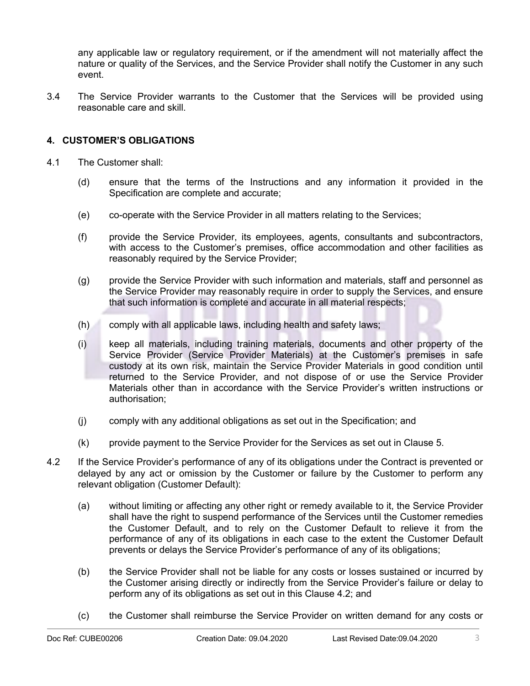any applicable law or regulatory requirement, or if the amendment will not materially affect the nature or quality of the Services, and the Service Provider shall notify the Customer in any such event.

3.4 The Service Provider warrants to the Customer that the Services will be provided using reasonable care and skill.

# **4. CUSTOMER'S OBLIGATIONS**

- 4.1 The Customer shall:
	- (d) ensure that the terms of the Instructions and any information it provided in the Specification are complete and accurate;
	- (e) co-operate with the Service Provider in all matters relating to the Services;
	- (f) provide the Service Provider, its employees, agents, consultants and subcontractors, with access to the Customer's premises, office accommodation and other facilities as reasonably required by the Service Provider;
	- (g) provide the Service Provider with such information and materials, staff and personnel as the Service Provider may reasonably require in order to supply the Services, and ensure that such information is complete and accurate in all material respects;
	- (h) comply with all applicable laws, including health and safety laws;
	- (i) keep all materials, including training materials, documents and other property of the Service Provider (Service Provider Materials) at the Customer's premises in safe custody at its own risk, maintain the Service Provider Materials in good condition until returned to the Service Provider, and not dispose of or use the Service Provider Materials other than in accordance with the Service Provider's written instructions or authorisation;
	- (j) comply with any additional obligations as set out in the Specification; and
	- (k) provide payment to the Service Provider for the Services as set out in Clause 5.
- 4.2 If the Service Provider's performance of any of its obligations under the Contract is prevented or delayed by any act or omission by the Customer or failure by the Customer to perform any relevant obligation (Customer Default):
	- (a) without limiting or affecting any other right or remedy available to it, the Service Provider shall have the right to suspend performance of the Services until the Customer remedies the Customer Default, and to rely on the Customer Default to relieve it from the performance of any of its obligations in each case to the extent the Customer Default prevents or delays the Service Provider's performance of any of its obligations;
	- (b) the Service Provider shall not be liable for any costs or losses sustained or incurred by the Customer arising directly or indirectly from the Service Provider's failure or delay to perform any of its obligations as set out in this Clause 4.2; and
	- (c) the Customer shall reimburse the Service Provider on written demand for any costs or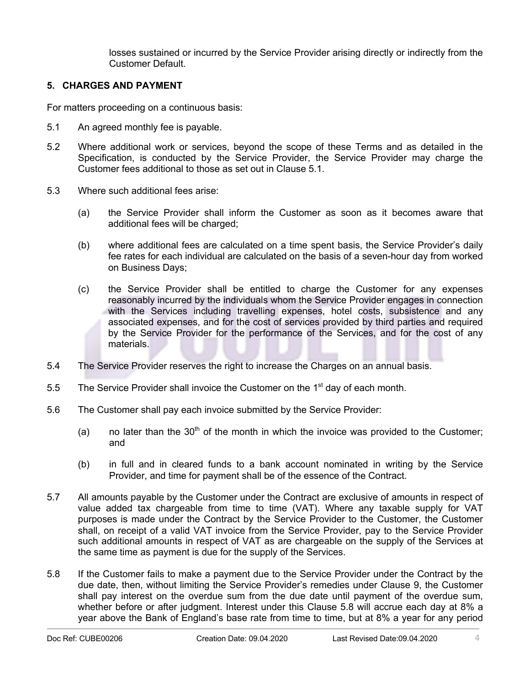losses sustained or incurred by the Service Provider arising directly or indirectly from the Customer Default.

## **5. CHARGES AND PAYMENT**

For matters proceeding on a continuous basis:

- 5.1 An agreed monthly fee is payable.
- 5.2 Where additional work or services, beyond the scope of these Terms and as detailed in the Specification, is conducted by the Service Provider, the Service Provider may charge the Customer fees additional to those as set out in Clause 5.1.
- 5.3 Where such additional fees arise:
	- (a) the Service Provider shall inform the Customer as soon as it becomes aware that additional fees will be charged;
	- (b) where additional fees are calculated on a time spent basis, the Service Provider's daily fee rates for each individual are calculated on the basis of a seven-hour day from worked on Business Days;
	- (c) the Service Provider shall be entitled to charge the Customer for any expenses reasonably incurred by the individuals whom the Service Provider engages in connection with the Services including travelling expenses, hotel costs, subsistence and any associated expenses, and for the cost of services provided by third parties and required by the Service Provider for the performance of the Services, and for the cost of any materials.
- 5.4 The Service Provider reserves the right to increase the Charges on an annual basis.
- 5.5 The Service Provider shall invoice the Customer on the  $1<sup>st</sup>$  day of each month.
- 5.6 The Customer shall pay each invoice submitted by the Service Provider:
	- (a) no later than the  $30<sup>th</sup>$  of the month in which the invoice was provided to the Customer; and
	- (b) in full and in cleared funds to a bank account nominated in writing by the Service Provider, and time for payment shall be of the essence of the Contract.
- 5.7 All amounts payable by the Customer under the Contract are exclusive of amounts in respect of value added tax chargeable from time to time (VAT). Where any taxable supply for VAT purposes is made under the Contract by the Service Provider to the Customer, the Customer shall, on receipt of a valid VAT invoice from the Service Provider, pay to the Service Provider such additional amounts in respect of VAT as are chargeable on the supply of the Services at the same time as payment is due for the supply of the Services.
- 5.8 If the Customer fails to make a payment due to the Service Provider under the Contract by the due date, then, without limiting the Service Provider's remedies under Clause 9, the Customer shall pay interest on the overdue sum from the due date until payment of the overdue sum, whether before or after judgment. Interest under this Clause 5.8 will accrue each day at 8% a year above the Bank of England's base rate from time to time, but at 8% a year for any period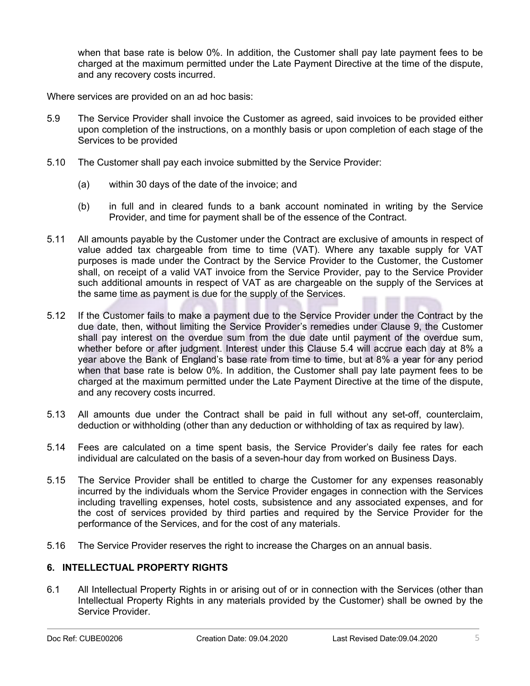when that base rate is below 0%. In addition, the Customer shall pay late payment fees to be charged at the maximum permitted under the Late Payment Directive at the time of the dispute, and any recovery costs incurred.

Where services are provided on an ad hoc basis:

- 5.9 The Service Provider shall invoice the Customer as agreed, said invoices to be provided either upon completion of the instructions, on a monthly basis or upon completion of each stage of the Services to be provided
- 5.10 The Customer shall pay each invoice submitted by the Service Provider:
	- (a) within 30 days of the date of the invoice; and
	- (b) in full and in cleared funds to a bank account nominated in writing by the Service Provider, and time for payment shall be of the essence of the Contract.
- 5.11 All amounts payable by the Customer under the Contract are exclusive of amounts in respect of value added tax chargeable from time to time (VAT). Where any taxable supply for VAT purposes is made under the Contract by the Service Provider to the Customer, the Customer shall, on receipt of a valid VAT invoice from the Service Provider, pay to the Service Provider such additional amounts in respect of VAT as are chargeable on the supply of the Services at the same time as payment is due for the supply of the Services.
- 5.12 If the Customer fails to make a payment due to the Service Provider under the Contract by the due date, then, without limiting the Service Provider's remedies under Clause 9, the Customer shall pay interest on the overdue sum from the due date until payment of the overdue sum, whether before or after judgment. Interest under this Clause 5.4 will accrue each day at 8% a year above the Bank of England's base rate from time to time, but at 8% a year for any period when that base rate is below 0%. In addition, the Customer shall pay late payment fees to be charged at the maximum permitted under the Late Payment Directive at the time of the dispute, and any recovery costs incurred.
- 5.13 All amounts due under the Contract shall be paid in full without any set-off, counterclaim, deduction or withholding (other than any deduction or withholding of tax as required by law).
- 5.14 Fees are calculated on a time spent basis, the Service Provider's daily fee rates for each individual are calculated on the basis of a seven-hour day from worked on Business Days.
- 5.15 The Service Provider shall be entitled to charge the Customer for any expenses reasonably incurred by the individuals whom the Service Provider engages in connection with the Services including travelling expenses, hotel costs, subsistence and any associated expenses, and for the cost of services provided by third parties and required by the Service Provider for the performance of the Services, and for the cost of any materials.
- 5.16 The Service Provider reserves the right to increase the Charges on an annual basis.

## **6. INTELLECTUAL PROPERTY RIGHTS**

6.1 All Intellectual Property Rights in or arising out of or in connection with the Services (other than Intellectual Property Rights in any materials provided by the Customer) shall be owned by the Service Provider.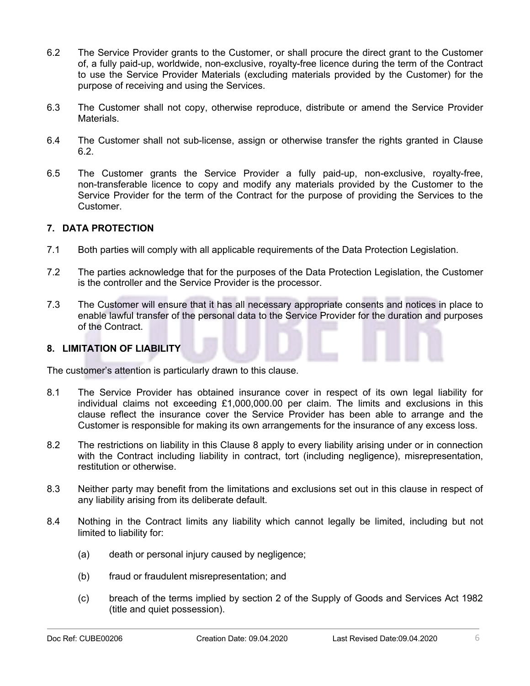- 6.2 The Service Provider grants to the Customer, or shall procure the direct grant to the Customer of, a fully paid-up, worldwide, non-exclusive, royalty-free licence during the term of the Contract to use the Service Provider Materials (excluding materials provided by the Customer) for the purpose of receiving and using the Services.
- 6.3 The Customer shall not copy, otherwise reproduce, distribute or amend the Service Provider Materials.
- 6.4 The Customer shall not sub-license, assign or otherwise transfer the rights granted in Clause 6.2.
- 6.5 The Customer grants the Service Provider a fully paid-up, non-exclusive, royalty-free, non-transferable licence to copy and modify any materials provided by the Customer to the Service Provider for the term of the Contract for the purpose of providing the Services to the Customer.

## **7. DATA PROTECTION**

- 7.1 Both parties will comply with all applicable requirements of the Data Protection Legislation.
- 7.2 The parties acknowledge that for the purposes of the Data Protection Legislation, the Customer is the controller and the Service Provider is the processor.
- 7.3 The Customer will ensure that it has all necessary appropriate consents and notices in place to enable lawful transfer of the personal data to the Service Provider for the duration and purposes of the Contract.

## **8. LIMITATION OF LIABILITY**

The customer's attention is particularly drawn to this clause.

- 8.1 The Service Provider has obtained insurance cover in respect of its own legal liability for individual claims not exceeding £1,000,000.00 per claim. The limits and exclusions in this clause reflect the insurance cover the Service Provider has been able to arrange and the Customer is responsible for making its own arrangements for the insurance of any excess loss.
- 8.2 The restrictions on liability in this Clause 8 apply to every liability arising under or in connection with the Contract including liability in contract, tort (including negligence), misrepresentation, restitution or otherwise.
- 8.3 Neither party may benefit from the limitations and exclusions set out in this clause in respect of any liability arising from its deliberate default.
- 8.4 Nothing in the Contract limits any liability which cannot legally be limited, including but not limited to liability for:
	- (a) death or personal injury caused by negligence;
	- (b) fraud or fraudulent misrepresentation; and
	- (c) breach of the terms implied by section 2 of the Supply of Goods and Services Act 1982 (title and quiet possession).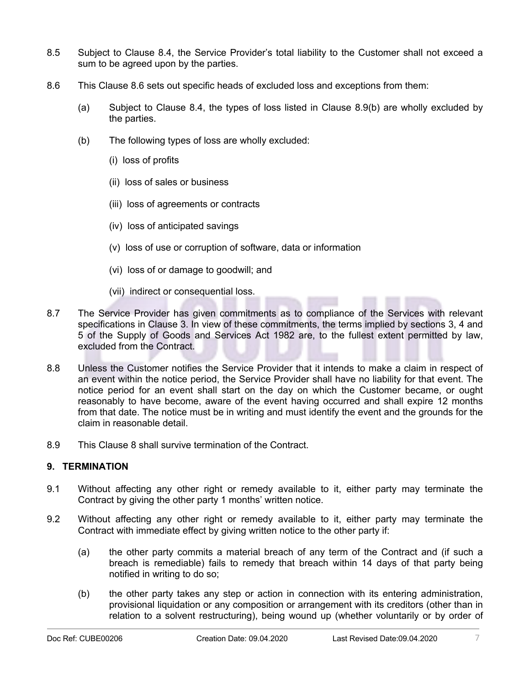- 8.5 Subject to Clause 8.4, the Service Provider's total liability to the Customer shall not exceed a sum to be agreed upon by the parties.
- 8.6 This Clause 8.6 sets out specific heads of excluded loss and exceptions from them:
	- (a) Subject to Clause 8.4, the types of loss listed in Clause 8.9(b) are wholly excluded by the parties.
	- (b) The following types of loss are wholly excluded:
		- (i) loss of profits
		- (ii) loss of sales or business
		- (iii) loss of agreements or contracts
		- (iv) loss of anticipated savings
		- (v) loss of use or corruption of software, data or information
		- (vi) loss of or damage to goodwill; and
		- (vii) indirect or consequential loss.
- 8.7 The Service Provider has given commitments as to compliance of the Services with relevant specifications in Clause 3. In view of these commitments, the terms implied by sections 3, 4 and 5 of the Supply of Goods and Services Act 1982 are, to the fullest extent permitted by law, excluded from the Contract.
- 8.8 Unless the Customer notifies the Service Provider that it intends to make a claim in respect of an event within the notice period, the Service Provider shall have no liability for that event. The notice period for an event shall start on the day on which the Customer became, or ought reasonably to have become, aware of the event having occurred and shall expire 12 months from that date. The notice must be in writing and must identify the event and the grounds for the claim in reasonable detail.
- 8.9 This Clause 8 shall survive termination of the Contract.

## **9. TERMINATION**

- 9.1 Without affecting any other right or remedy available to it, either party may terminate the Contract by giving the other party 1 months' written notice.
- 9.2 Without affecting any other right or remedy available to it, either party may terminate the Contract with immediate effect by giving written notice to the other party if:
	- (a) the other party commits a material breach of any term of the Contract and (if such a breach is remediable) fails to remedy that breach within 14 days of that party being notified in writing to do so;
	- (b) the other party takes any step or action in connection with its entering administration, provisional liquidation or any composition or arrangement with its creditors (other than in relation to a solvent restructuring), being wound up (whether voluntarily or by order of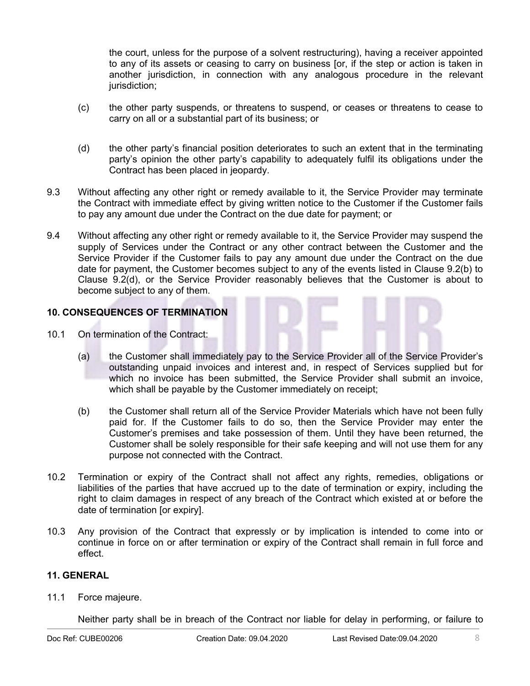the court, unless for the purpose of a solvent restructuring), having a receiver appointed to any of its assets or ceasing to carry on business [or, if the step or action is taken in another jurisdiction, in connection with any analogous procedure in the relevant jurisdiction;

- (c) the other party suspends, or threatens to suspend, or ceases or threatens to cease to carry on all or a substantial part of its business; or
- (d) the other party's financial position deteriorates to such an extent that in the terminating party's opinion the other party's capability to adequately fulfil its obligations under the Contract has been placed in jeopardy.
- 9.3 Without affecting any other right or remedy available to it, the Service Provider may terminate the Contract with immediate effect by giving written notice to the Customer if the Customer fails to pay any amount due under the Contract on the due date for payment; or
- 9.4 Without affecting any other right or remedy available to it, the Service Provider may suspend the supply of Services under the Contract or any other contract between the Customer and the Service Provider if the Customer fails to pay any amount due under the Contract on the due date for payment, the Customer becomes subject to any of the events listed in Clause 9.2(b) to Clause 9.2(d), or the Service Provider reasonably believes that the Customer is about to become subject to any of them.

# **10. CONSEQUENCES OF TERMINATION**

- 10.1 On termination of the Contract:
	- (a) the Customer shall immediately pay to the Service Provider all of the Service Provider's outstanding unpaid invoices and interest and, in respect of Services supplied but for which no invoice has been submitted, the Service Provider shall submit an invoice, which shall be payable by the Customer immediately on receipt;
	- (b) the Customer shall return all of the Service Provider Materials which have not been fully paid for. If the Customer fails to do so, then the Service Provider may enter the Customer's premises and take possession of them. Until they have been returned, the Customer shall be solely responsible for their safe keeping and will not use them for any purpose not connected with the Contract.
- 10.2 Termination or expiry of the Contract shall not affect any rights, remedies, obligations or liabilities of the parties that have accrued up to the date of termination or expiry, including the right to claim damages in respect of any breach of the Contract which existed at or before the date of termination [or expiry].
- 10.3 Any provision of the Contract that expressly or by implication is intended to come into or continue in force on or after termination or expiry of the Contract shall remain in full force and effect.

#### **11. GENERAL**

11.1 Force majeure.

Neither party shall be in breach of the Contract nor liable for delay in performing, or failure to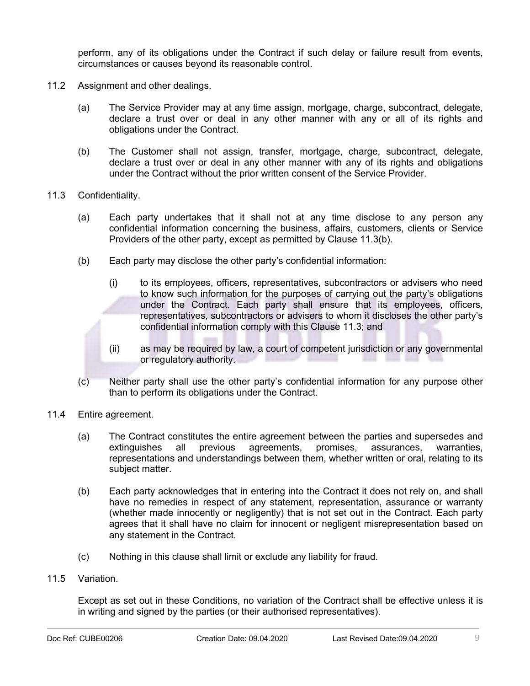perform, any of its obligations under the Contract if such delay or failure result from events, circumstances or causes beyond its reasonable control.

- 11.2 Assignment and other dealings.
	- (a) The Service Provider may at any time assign, mortgage, charge, subcontract, delegate, declare a trust over or deal in any other manner with any or all of its rights and obligations under the Contract.
	- (b) The Customer shall not assign, transfer, mortgage, charge, subcontract, delegate, declare a trust over or deal in any other manner with any of its rights and obligations under the Contract without the prior written consent of the Service Provider.
- 11.3 Confidentiality.
	- (a) Each party undertakes that it shall not at any time disclose to any person any confidential information concerning the business, affairs, customers, clients or Service Providers of the other party, except as permitted by Clause 11.3(b).
	- (b) Each party may disclose the other party's confidential information:
		- (i) to its employees, officers, representatives, subcontractors or advisers who need to know such information for the purposes of carrying out the party's obligations under the Contract. Each party shall ensure that its employees, officers, representatives, subcontractors or advisers to whom it discloses the other party's confidential information comply with this Clause 11.3; and
		- (ii) as may be required by law, a court of competent jurisdiction or any governmental or regulatory authority.
	- (c) Neither party shall use the other party's confidential information for any purpose other than to perform its obligations under the Contract.
- 11.4 Entire agreement.
	- (a) The Contract constitutes the entire agreement between the parties and supersedes and extinguishes all previous agreements, promises, assurances, warranties, representations and understandings between them, whether written or oral, relating to its subject matter.
	- (b) Each party acknowledges that in entering into the Contract it does not rely on, and shall have no remedies in respect of any statement, representation, assurance or warranty (whether made innocently or negligently) that is not set out in the Contract. Each party agrees that it shall have no claim for innocent or negligent misrepresentation based on any statement in the Contract.
	- (c) Nothing in this clause shall limit or exclude any liability for fraud.
- 11.5 Variation.

Except as set out in these Conditions, no variation of the Contract shall be effective unless it is in writing and signed by the parties (or their authorised representatives).